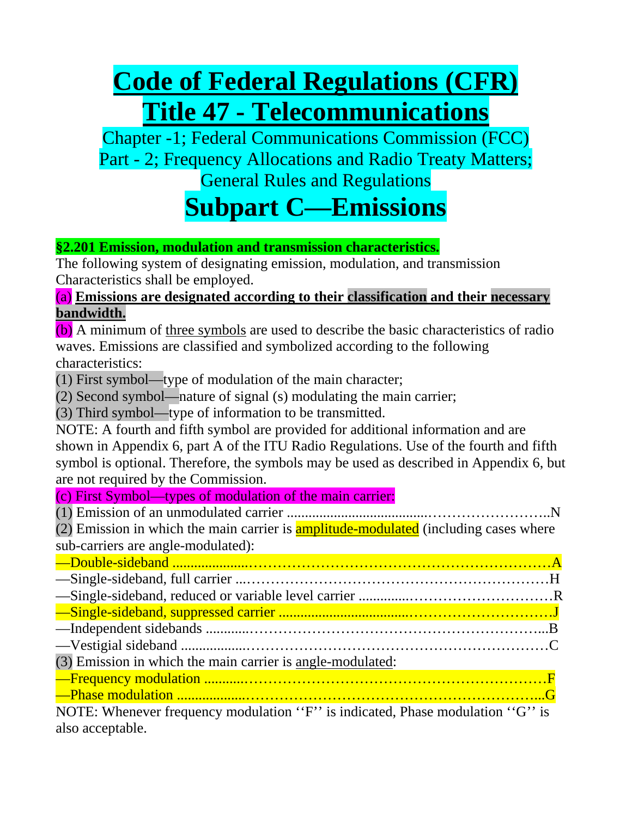# **Code of Federal Regulations (CFR) Title 47 - Telecommunications**

Chapter -1; Federal Communications Commission (FCC) Part - 2; Frequency Allocations and Radio Treaty Matters; General Rules and Regulations

### **Subpart C—Emissions**

### **§2.201 Emission, modulation and transmission characteristics.**

The following system of designating emission, modulation, and transmission Characteristics shall be employed.

### (a) **Emissions are designated according to their classification and their necessary bandwidth.**

(b) A minimum of three symbols are used to describe the basic characteristics of radio waves. Emissions are classified and symbolized according to the following characteristics:

(1) First symbol—type of modulation of the main character;

(2) Second symbol—nature of signal (s) modulating the main carrier;

(3) Third symbol—type of information to be transmitted.

NOTE: A fourth and fifth symbol are provided for additional information and are shown in Appendix 6, part A of the ITU Radio Regulations. Use of the fourth and fifth symbol is optional. Therefore, the symbols may be used as described in Appendix 6, but are not required by the Commission.

(c) First Symbol—types of modulation of the main carrier:

(1) Emission of an unmodulated carrier .......................................……………………..N  $(2)$  Emission in which the main carrier is **amplitude-modulated** (including cases where sub-carriers are angle-modulated):

| (3) Emission in which the main carrier is angle-modulated:                    |
|-------------------------------------------------------------------------------|
|                                                                               |
|                                                                               |
| NOTE: Whenever frequency modulation "F" is indicated, Phase modulation "G" is |

also acceptable.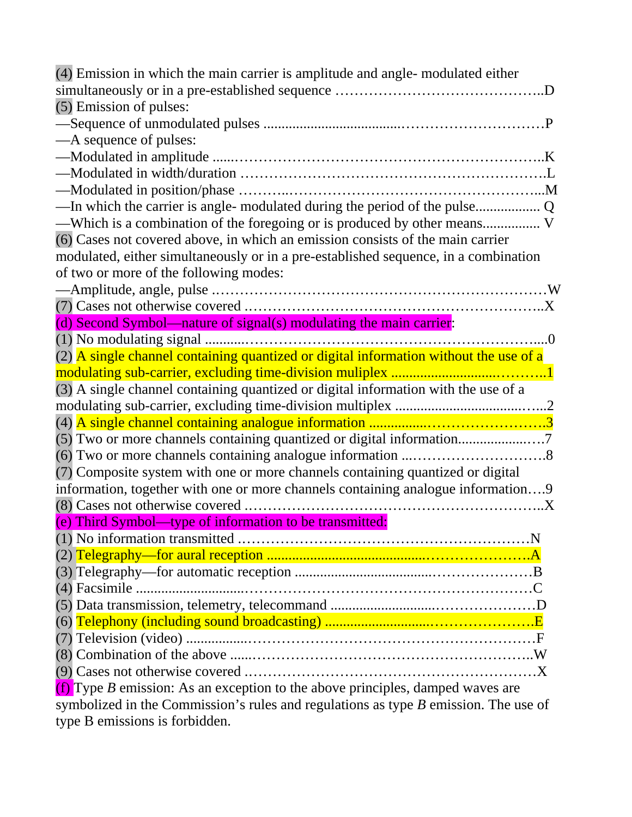| (4) Emission in which the main carrier is amplitude and angle-modulated either          |
|-----------------------------------------------------------------------------------------|
|                                                                                         |
| (5) Emission of pulses:                                                                 |
|                                                                                         |
| — A sequence of pulses:                                                                 |
|                                                                                         |
|                                                                                         |
|                                                                                         |
|                                                                                         |
|                                                                                         |
| (6) Cases not covered above, in which an emission consists of the main carrier          |
| modulated, either simultaneously or in a pre-established sequence, in a combination     |
| of two or more of the following modes:                                                  |
|                                                                                         |
|                                                                                         |
| (d) Second Symbol—nature of signal(s) modulating the main carrier:                      |
|                                                                                         |
| $(2)$ A single channel containing quantized or digital information without the use of a |
|                                                                                         |
| (3) A single channel containing quantized or digital information with the use of a      |
|                                                                                         |
|                                                                                         |
| (5) Two or more channels containing quantized or digital information                    |
|                                                                                         |
| (7) Composite system with one or more channels containing quantized or digital          |
| information, together with one or more channels containing analogue information9        |
|                                                                                         |
| (e) Third Symbol—type of information to be transmitted:                                 |
|                                                                                         |
|                                                                                         |
|                                                                                         |
|                                                                                         |
|                                                                                         |
|                                                                                         |
|                                                                                         |
|                                                                                         |
|                                                                                         |
| (f) Type B emission: As an exception to the above principles, damped waves are          |
| symbolized in the Commission's rules and regulations as type $B$ emission. The use of   |
|                                                                                         |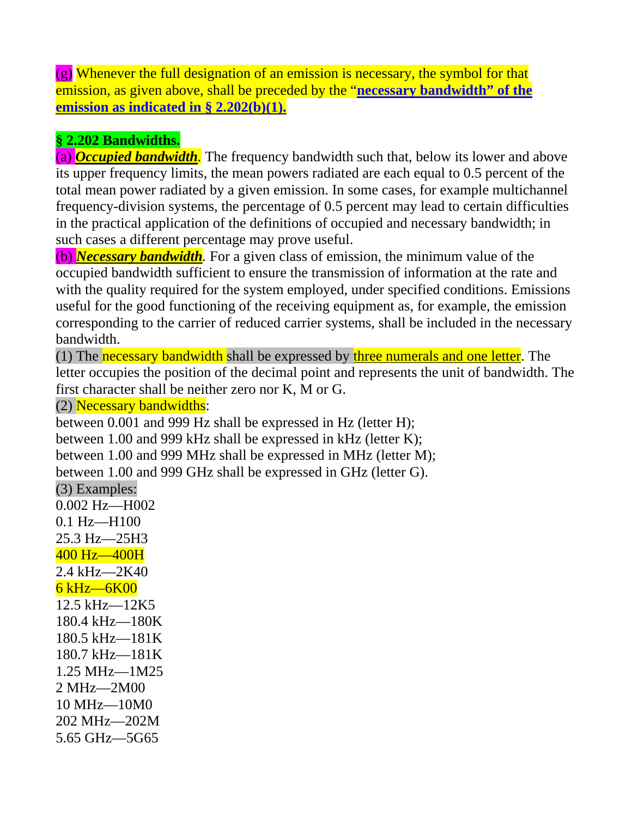(g) Whenever the full designation of an emission is necessary, the symbol for that emission, as given above, shall be preceded by the "**necessary bandwidth" of the emission as indicated in § 2.202(b)(1).**

### **§ 2.202 Bandwidths.**

(a) *Occupied bandwidth.* The frequency bandwidth such that, below its lower and above its upper frequency limits, the mean powers radiated are each equal to 0.5 percent of the total mean power radiated by a given emission. In some cases, for example multichannel frequency-division systems, the percentage of 0.5 percent may lead to certain difficulties in the practical application of the definitions of occupied and necessary bandwidth; in such cases a different percentage may prove useful.

(b) *Necessary bandwidth.* For a given class of emission, the minimum value of the occupied bandwidth sufficient to ensure the transmission of information at the rate and with the quality required for the system employed, under specified conditions. Emissions useful for the good functioning of the receiving equipment as, for example, the emission corresponding to the carrier of reduced carrier systems, shall be included in the necessary bandwidth.

(1) The necessary bandwidth shall be expressed by three numerals and one letter. The letter occupies the position of the decimal point and represents the unit of bandwidth. The first character shall be neither zero nor K, M or G.

(2) Necessary bandwidths:

between 0.001 and 999 Hz shall be expressed in Hz (letter H); between 1.00 and 999 kHz shall be expressed in kHz (letter K); between 1.00 and 999 MHz shall be expressed in MHz (letter M); between 1.00 and 999 GHz shall be expressed in GHz (letter G). (3) Examples: 0.002 Hz—H002 0.1 Hz—H100 25.3 Hz—25H3 400 Hz—400H 2.4 kHz—2K40 6 kHz—6K00 12.5 kHz—12K5 180.4 kHz—180K 180.5 kHz—181K 180.7 kHz—181K 1.25 MHz—1M25 2 MHz—2M00 10 MHz—10M0 202 MHz—202M

5.65 GHz—5G65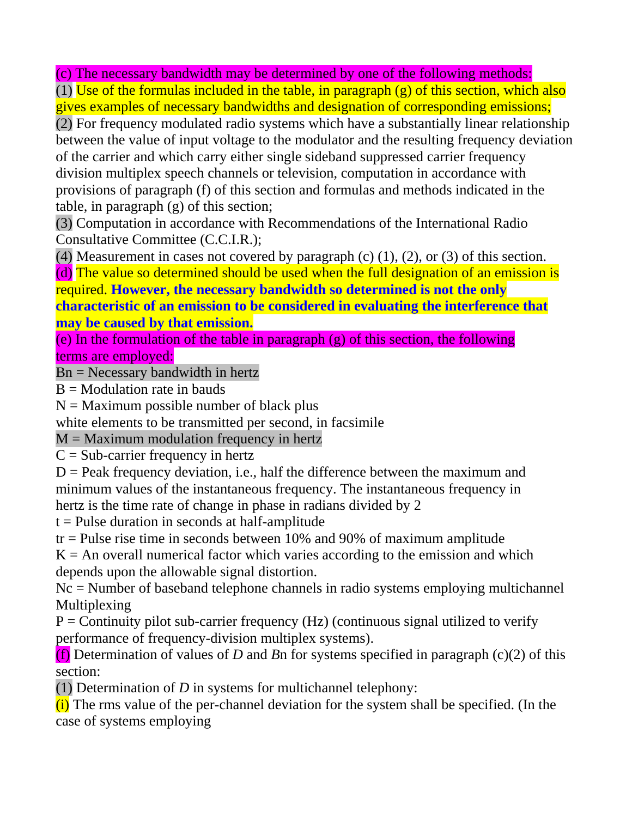(c) The necessary bandwidth may be determined by one of the following methods:

(1) Use of the formulas included in the table, in paragraph  $(g)$  of this section, which also gives examples of necessary bandwidths and designation of corresponding emissions;

(2) For frequency modulated radio systems which have a substantially linear relationship between the value of input voltage to the modulator and the resulting frequency deviation of the carrier and which carry either single sideband suppressed carrier frequency division multiplex speech channels or television, computation in accordance with provisions of paragraph (f) of this section and formulas and methods indicated in the table, in paragraph (g) of this section;

(3) Computation in accordance with Recommendations of the International Radio Consultative Committee (C.C.I.R.);

(4) Measurement in cases not covered by paragraph (c)  $(1)$ ,  $(2)$ , or  $(3)$  of this section.

(d) The value so determined should be used when the full designation of an emission is required. **However, the necessary bandwidth so determined is not the only characteristic of an emission to be considered in evaluating the interference that may be caused by that emission.**

(e) In the formulation of the table in paragraph (g) of this section, the following terms are employed:

Bn = Necessary bandwidth in hertz

 $B =$  Modulation rate in bauds

 $N =$  Maximum possible number of black plus

white elements to be transmitted per second, in facsimile

 $M =$  Maximum modulation frequency in hertz

 $C = Sub-carrier frequency in hertz$ 

 $D =$  Peak frequency deviation, i.e., half the difference between the maximum and minimum values of the instantaneous frequency. The instantaneous frequency in hertz is the time rate of change in phase in radians divided by 2

 $t =$ Pulse duration in seconds at half-amplitude

 $tr =$  Pulse rise time in seconds between 10% and 90% of maximum amplitude

 $K = An$  overall numerical factor which varies according to the emission and which depends upon the allowable signal distortion.

Nc = Number of baseband telephone channels in radio systems employing multichannel Multiplexing

 $P =$  Continuity pilot sub-carrier frequency (Hz) (continuous signal utilized to verify performance of frequency-division multiplex systems).

(f) Determination of values of *D* and *B*n for systems specified in paragraph (c)(2) of this section:

(1) Determination of *D* in systems for multichannel telephony:

 $(i)$  The rms value of the per-channel deviation for the system shall be specified. (In the case of systems employing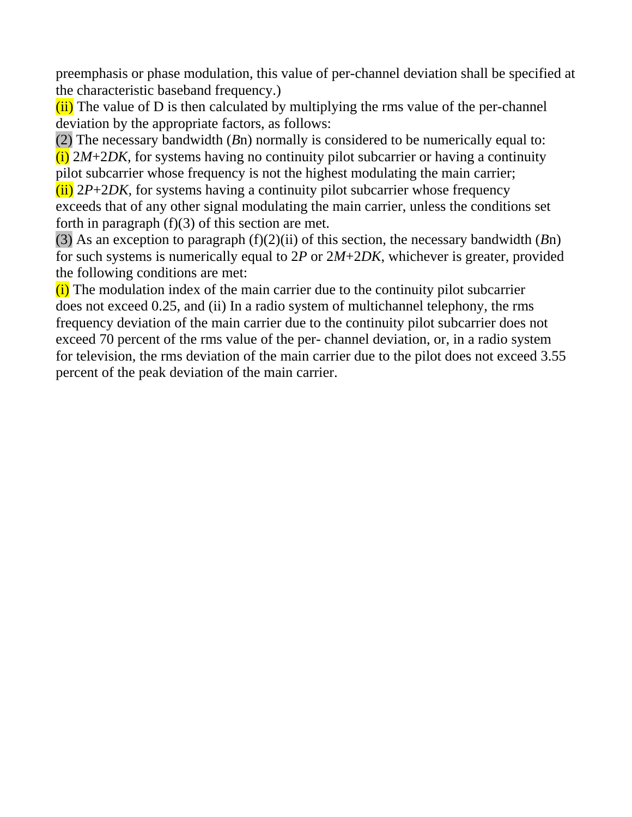preemphasis or phase modulation, this value of per-channel deviation shall be specified at the characteristic baseband frequency.)

 $(iii)$  The value of D is then calculated by multiplying the rms value of the per-channel deviation by the appropriate factors, as follows:

(2) The necessary bandwidth (*B*n) normally is considered to be numerically equal to: (i) 2*M*+2*DK,* for systems having no continuity pilot subcarrier or having a continuity pilot subcarrier whose frequency is not the highest modulating the main carrier;

 $(iii)$  2*P*+2*DK*, for systems having a continuity pilot subcarrier whose frequency exceeds that of any other signal modulating the main carrier, unless the conditions set forth in paragraph  $(f)(3)$  of this section are met.

(3) As an exception to paragraph (f)(2)(ii) of this section, the necessary bandwidth (*B*n) for such systems is numerically equal to 2*P* or 2*M*+2*DK*, whichever is greater, provided the following conditions are met:

 $(i)$  The modulation index of the main carrier due to the continuity pilot subcarrier does not exceed 0.25, and (ii) In a radio system of multichannel telephony, the rms frequency deviation of the main carrier due to the continuity pilot subcarrier does not exceed 70 percent of the rms value of the per- channel deviation, or, in a radio system for television, the rms deviation of the main carrier due to the pilot does not exceed 3.55 percent of the peak deviation of the main carrier.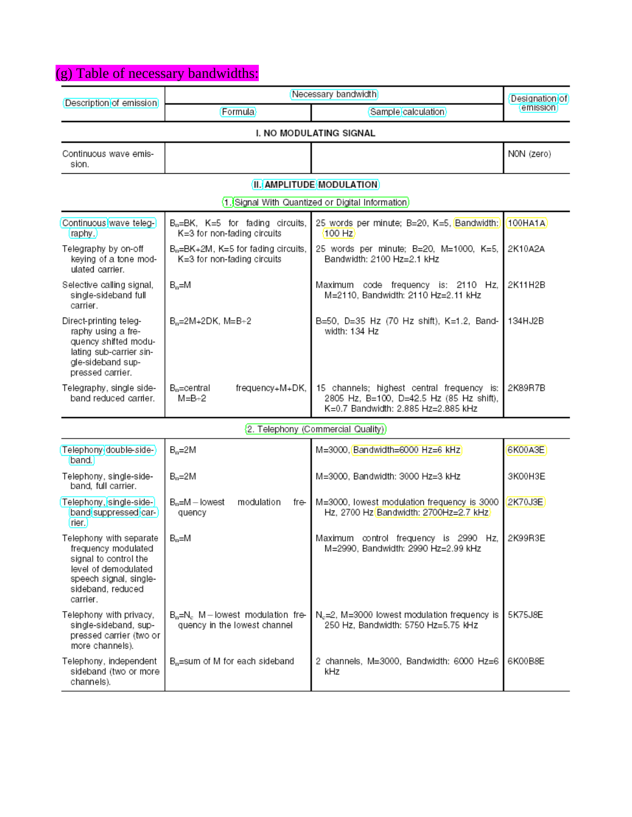### (g) Table of necessary bandwidths:

| Description of emission                                                                                                                                    | Necessary bandwidth                                                                       | Designation of                                                                                                                |            |  |
|------------------------------------------------------------------------------------------------------------------------------------------------------------|-------------------------------------------------------------------------------------------|-------------------------------------------------------------------------------------------------------------------------------|------------|--|
|                                                                                                                                                            | Formula                                                                                   | Sample calculation                                                                                                            | emission   |  |
| I. NO MODULATING SIGNAL                                                                                                                                    |                                                                                           |                                                                                                                               |            |  |
| Continuous wave emis-<br>sion.                                                                                                                             |                                                                                           |                                                                                                                               | NON (zero) |  |
|                                                                                                                                                            |                                                                                           | II. AMPLITUDE MODULATION                                                                                                      |            |  |
|                                                                                                                                                            |                                                                                           | 1. Signal With Quantized or Digital Information)                                                                              |            |  |
| Continuous wave teleg-<br>(raphy.)                                                                                                                         | $B_n = BK$ , $K = 5$ for fading circuits,<br>K=3 for non-fading circuits                  | 25 words per minute; B=20, K=5, Bandwidth;<br>$100$ Hz                                                                        | 100HA1A)   |  |
| Telegraphy by on-off<br>keying of a tone mod-<br>ulated carrier.                                                                                           | $B_n = BK + 2M$ , $K = 5$ for fading circuits,<br>K=3 for non-fading circuits             | 25 words per minute; B=20, M=1000, K=5,<br>Bandwidth: 2100 Hz=2.1 kHz                                                         | 2K10A2A    |  |
| Selective calling signal,<br>single-sideband full<br>carrier.                                                                                              | $B_n = M$                                                                                 | Maximum code frequency is: 2110 Hz,<br>M=2110, Bandwidth: 2110 Hz=2.11 kHz                                                    | 2K11H2B    |  |
| Direct-printing teleg-<br>raphy using a fre-<br>quency shifted modu-<br>lating sub-carrier sin-<br>gle-sideband sup-<br>pressed carrier.                   | $B_0 = 2M + 2DK$ , $M = B + 2$                                                            | B=50, D=35 Hz (70 Hz shift), K=1.2, Band-<br>width: 134 Hz                                                                    | 134HJ2B    |  |
| Telegraphy, single side-<br>band reduced carrier.                                                                                                          | B <sub>o</sub> =central<br>frequency+M+DK,<br>$M = B + 2$                                 | 15 channels; highest central frequency is:<br>2805 Hz, B=100, D=42.5 Hz (85 Hz shift),<br>K=0.7 Bandwidth: 2.885 Hz=2.885 kHz | 2K89R7B    |  |
|                                                                                                                                                            |                                                                                           | 2. Telephony (Commercial Quality))                                                                                            |            |  |
| (Telephony double-side-)<br>band.                                                                                                                          | $B_n = 2M$                                                                                | M=3000, Bandwidth=6000 Hz=6 kHz                                                                                               | 6K00A3E    |  |
| Telephony, single-side-<br>band, full carrier.                                                                                                             | $B_n=2M$                                                                                  | M=3000, Bandwidth: 3000 Hz=3 kHz                                                                                              | 3K00H3E    |  |
| Telephony, single-side-<br>band suppressed car-<br>(rier.)                                                                                                 | $B_n = M -$ lowest<br>modulation<br>fre I<br>quency                                       | M=3000, lowest modulation frequency is 3000<br>Hz, 2700 Hz Bandwidth: 2700Hz=2.7 kHz                                          | 2K70J3E)   |  |
| Telephony with separate<br>frequency modulated<br>signal to control the<br>level of demodulated<br>speech signal, single-<br>sideband, reduced<br>carrier. | Maximum control frequency is 2990 Hz,<br>$B_n = M$<br>M=2990, Bandwidth: 2990 Hz=2.99 kHz |                                                                                                                               | 2K99R3E    |  |
| Telephony with privacy,<br>single-sideband, sup-<br>pressed carrier (two or<br>more channels).                                                             | $Bo=Nc$ M – lowest modulation fre-<br>quency in the lowest channel                        | N <sub>c</sub> =2, M=3000 lowest modulation frequency is<br>250 Hz, Bandwidth: 5750 Hz=5.75 KHz                               | 5K75J8E    |  |
| Telephony, independent<br>sideband (two or more<br>channels).                                                                                              | B <sub>n</sub> =sum of M for each sideband                                                | 2 channels, M=3000, Bandwidth: 6000 Hz=6<br>kHz                                                                               | 6K00B8E    |  |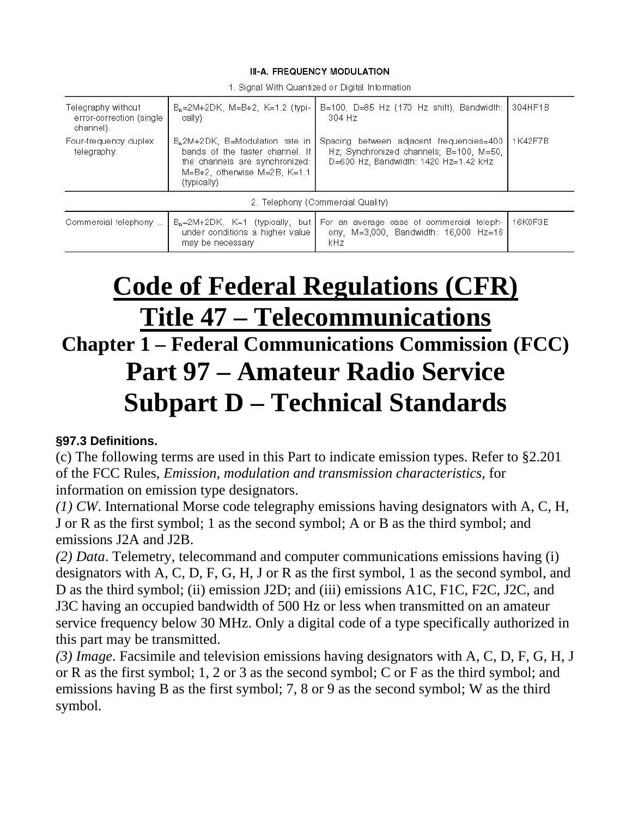#### III-A. FREQUENCY MODULATION

| Telegraphy without<br>error-correction (single<br>channel). | $B_n = 2M + 2DK$ , $M = B + 2$ , $K = 1.2$ (typi-<br>cally)                                                                                                     | B=100, D=85 Hz (170 Hz shift), Bandwidth:<br>304 Hz                                                                             | 304HF1B |
|-------------------------------------------------------------|-----------------------------------------------------------------------------------------------------------------------------------------------------------------|---------------------------------------------------------------------------------------------------------------------------------|---------|
| Four-frequency duplex<br>telegraphy.                        | B <sub>n</sub> 2M+2DK, B=Modulation rate in<br>bands of the faster channel. If<br>the channels are synchronized:<br>M=B+2, otherwise M=2B, K=1.1<br>(typically) | Spacing between adjacent frequencies=400<br>Hz; Synchronized channels; B=100, M=50,<br>$D=600$ Hz, Bandwidth: 1420 Hz=1.42 kHz  | 1K42F7B |
|                                                             |                                                                                                                                                                 | 2. Telephony (Commercial Quality).                                                                                              |         |
| Commercial telephony                                        | under conditions a higher value<br>may be necessary.                                                                                                            | $B_n=2M+2DK$ , K=1 (typically, but For an average case of commercial teleph-<br>ony, $M=3,000$ , Bandwidth: 16,000 Hz=16<br>kHz | 16K0F3E |

1. Signal With Quantized or Digital Information

## **Code of Federal Regulations (CFR) Title 47 – Telecommunications**

## **Chapter 1 – Federal Communications Commission (FCC) Part 97 – Amateur Radio Service Subpart D – Technical Standards**

#### **§97.3 Definitions.**

(c) The following terms are used in this Part to indicate emission types. Refer to §2.201 of the FCC Rules, *Emission, modulation and transmission characteristics*, for information on emission type designators.

*(1) CW*. International Morse code telegraphy emissions having designators with A, C, H, J or R as the first symbol; 1 as the second symbol; A or B as the third symbol; and emissions J2A and J2B.

*(2) Data*. Telemetry, telecommand and computer communications emissions having (i) designators with A, C, D, F, G, H, J or R as the first symbol, 1 as the second symbol, and D as the third symbol; (ii) emission J2D; and (iii) emissions A1C, F1C, F2C, J2C, and J3C having an occupied bandwidth of 500 Hz or less when transmitted on an amateur service frequency below 30 MHz. Only a digital code of a type specifically authorized in this part may be transmitted.

*(3) Image*. Facsimile and television emissions having designators with A, C, D, F, G, H, J or R as the first symbol; 1, 2 or 3 as the second symbol; C or F as the third symbol; and emissions having B as the first symbol; 7, 8 or 9 as the second symbol; W as the third symbol.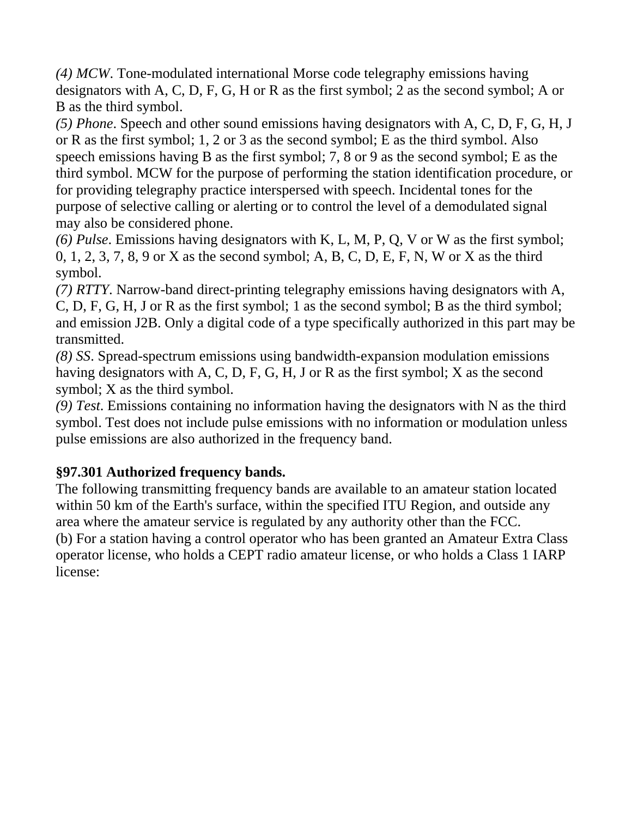*(4) MCW*. Tone-modulated international Morse code telegraphy emissions having designators with A, C, D, F, G, H or R as the first symbol; 2 as the second symbol; A or B as the third symbol.

*(5) Phone*. Speech and other sound emissions having designators with A, C, D, F, G, H, J or R as the first symbol; 1, 2 or 3 as the second symbol; E as the third symbol. Also speech emissions having B as the first symbol; 7, 8 or 9 as the second symbol; E as the third symbol. MCW for the purpose of performing the station identification procedure, or for providing telegraphy practice interspersed with speech. Incidental tones for the purpose of selective calling or alerting or to control the level of a demodulated signal may also be considered phone.

*(6) Pulse*. Emissions having designators with K, L, M, P, Q, V or W as the first symbol; 0, 1, 2, 3, 7, 8, 9 or X as the second symbol; A, B, C, D, E, F, N, W or X as the third symbol.

*(7) RTTY*. Narrow-band direct-printing telegraphy emissions having designators with A, C, D, F, G, H, J or R as the first symbol; 1 as the second symbol; B as the third symbol; and emission J2B. Only a digital code of a type specifically authorized in this part may be transmitted.

*(8) SS*. Spread-spectrum emissions using bandwidth-expansion modulation emissions having designators with A, C, D, F, G, H, J or R as the first symbol; X as the second symbol; X as the third symbol.

*(9) Test*. Emissions containing no information having the designators with N as the third symbol. Test does not include pulse emissions with no information or modulation unless pulse emissions are also authorized in the frequency band.

### **§97.301 Authorized frequency bands.**

The following transmitting frequency bands are available to an amateur station located within 50 km of the Earth's surface, within the specified ITU Region, and outside any area where the amateur service is regulated by any authority other than the FCC. (b) For a station having a control operator who has been granted an Amateur Extra Class operator license, who holds a CEPT radio amateur license, or who holds a Class 1 IARP license: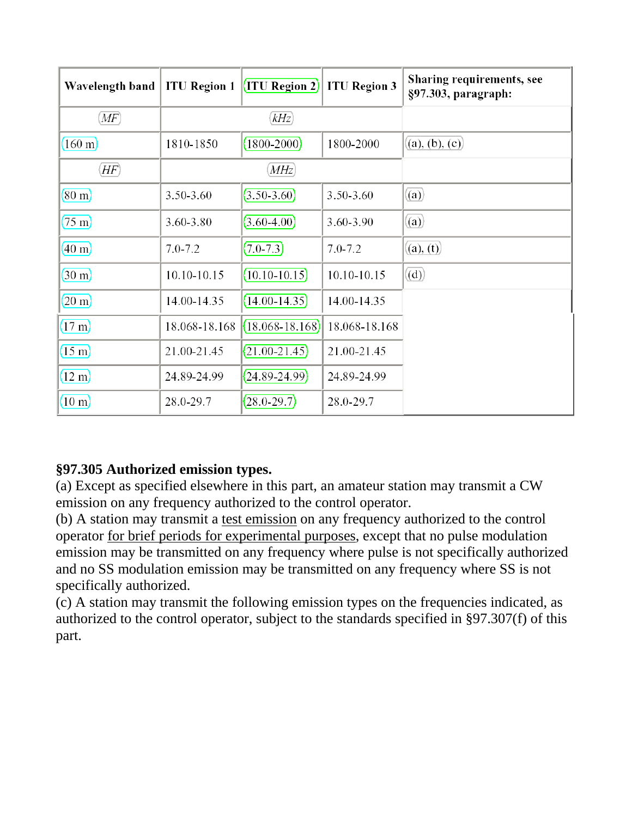| Wavelength band      | <b>ITU Region 1</b> | $\vert$ (ITU Region 2) | <b>ITU Region 3</b> | Sharing requirements, see<br>§97.303, paragraph: |
|----------------------|---------------------|------------------------|---------------------|--------------------------------------------------|
| $\overline{MF}$      | kHz                 |                        |                     |                                                  |
| $160 \text{ m}$      | 1810-1850           | $(1800 - 2000)$        | 1800-2000           | (a), (b), (c)                                    |
| $\langle HF \rangle$ |                     | MHz)                   |                     |                                                  |
| $(80 \text{ m})$     | 3.50-3.60           | $(3.50-3.60)$          | 3.50-3.60           | (a)                                              |
| $(75 \text{ m})$     | 3.60-3.80           | $(3.60 - 4.00)$        | 3.60-3.90           | (a)                                              |
| $(40 \text{ m})$     | $7.0 - 7.2$         | $(7.0 - 7.3)$          | $7.0 - 7.2$         | (a), (t)                                         |
| $(30 \text{ m})$     | 10.10-10.15         | $(10.10 - 10.15)$      | 10.10-10.15         | (d)                                              |
| $(20 \text{ m})$     | 14.00-14.35         | $(14.00 - 14.35)$      | 14.00-14.35         |                                                  |
| $(17 \text{ m})$     | 18.068-18.168       | $(18.068 - 18.168)$    | 18.068-18.168       |                                                  |
| $(15 \text{ m})$     | 21.00-21.45         | $(21.00 - 21.45)$      | 21.00-21.45         |                                                  |
| $(12 \text{ m})$     | 24.89-24.99         | $(24.89 - 24.99)$      | 24.89-24.99         |                                                  |
| $(10 \text{ m})$     | 28.0-29.7           | $(28.0 - 29.7)$        | 28.0-29.7           |                                                  |

### **§97.305 Authorized emission types.**

(a) Except as specified elsewhere in this part, an amateur station may transmit a CW emission on any frequency authorized to the control operator.

(b) A station may transmit a test emission on any frequency authorized to the control operator for brief periods for experimental purposes, except that no pulse modulation emission may be transmitted on any frequency where pulse is not specifically authorized and no SS modulation emission may be transmitted on any frequency where SS is not specifically authorized.

(c) A station may transmit the following emission types on the frequencies indicated, as authorized to the control operator, subject to the standards specified in §97.307(f) of this part.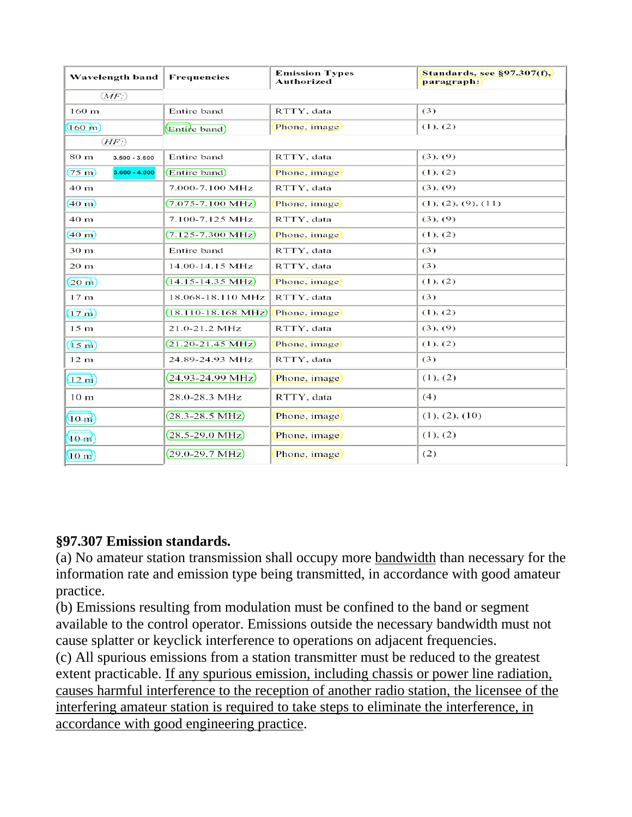| Wavelength band                     | Frequencies                     | <b>Emission Types</b><br>Authorized | Standards, see $\S97.307(f)$ ,<br>paragraph: |
|-------------------------------------|---------------------------------|-------------------------------------|----------------------------------------------|
| (MF)                                |                                 |                                     |                                              |
| 160 <sub>m</sub>                    | Entire band                     | RTTY, data                          | (3)                                          |
| $(160 \text{ m})$                   | Entire band)                    | Phone, image                        | (1), (2)                                     |
| (HF)                                |                                 |                                     |                                              |
| 80 m<br>$3.500 - 3.600$             | Entire band                     | RTTY, data                          | (3), (9)                                     |
| $(75 \text{ m})$<br>$3.600 - 4.000$ | Entire band)                    | Phone, image)                       | (1), (2)                                     |
| 40 m                                | 7.000-7.100 MHz                 | RTTY, data                          | (3), (9)                                     |
| $(40 \text{ m})$                    | $(7.075 - 7.100 \text{ MHz})$   | Phone, image)                       | (1), (2), (9), (11)                          |
| 40 m                                | 7.100-7.125 MHz                 | RTTY, data                          | (3), (9)                                     |
| (40 <sub>m</sub> )                  | $(7.125 - 7.300 \text{ MHz})$   | Phone, image)                       | (1), (2)                                     |
| 30 <sub>m</sub>                     | Entire band                     | RTTY, data                          | (3)                                          |
| 20 <sub>m</sub>                     | 14.00-14.15 MHz                 | RTTY, data                          | (3)                                          |
| $(20 \text{ m})$                    | $(14.15 - 14.35 \text{ MHz})$   | Phone, image                        | (1), (2)                                     |
| 17 <sub>m</sub>                     | 18.068-18.110 MHz               | RTTY, data                          | (3)                                          |
| $(17 \text{ m})$                    | $(18.110 - 18.168 \text{ MHz})$ | Phone, image)                       | (1), (2)                                     |
| 15 <sub>m</sub>                     | 21.0-21.2 MHz                   | RTTY, data                          | (3), (9)                                     |
| $(15 \text{ m})$                    | $(21.20 - 21.45 \text{ MHz})$   | Phone, image)                       | (1), (2)                                     |
| 12 <sub>m</sub>                     | 24.89-24.93 MHz                 | RTTY, data                          | (3)                                          |
| $(12 \text{ m})$                    | $(24.93 - 24.99 \text{ MHz})$   | Phone, image                        | (1), (2)                                     |
| 10 <sub>m</sub>                     | 28.0-28.3 MHz                   | RTTY, data                          | (4)                                          |
| $10 \text{ m}$                      | $(28.3 - 28.5 \text{ MHz})$     | Phone, image)                       | (1), (2), (10)                               |
| $(10 \text{ m})$                    | $(28.5 - 29.0 \text{ MHz})$     | Phone, image)                       | (1), (2)                                     |
| $(10 \text{ m})$                    | $(29.0 - 29.7 \text{ MHz})$     | Phone, image                        | (2)                                          |

#### **§97.307 Emission standards.**

(a) No amateur station transmission shall occupy more bandwidth than necessary for the information rate and emission type being transmitted, in accordance with good amateur practice.

(b) Emissions resulting from modulation must be confined to the band or segment available to the control operator. Emissions outside the necessary bandwidth must not cause splatter or keyclick interference to operations on adjacent frequencies.

(c) All spurious emissions from a station transmitter must be reduced to the greatest extent practicable. If any spurious emission, including chassis or power line radiation, causes harmful interference to the reception of another radio station, the licensee of the interfering amateur station is required to take steps to eliminate the interference, in accordance with good engineering practice.